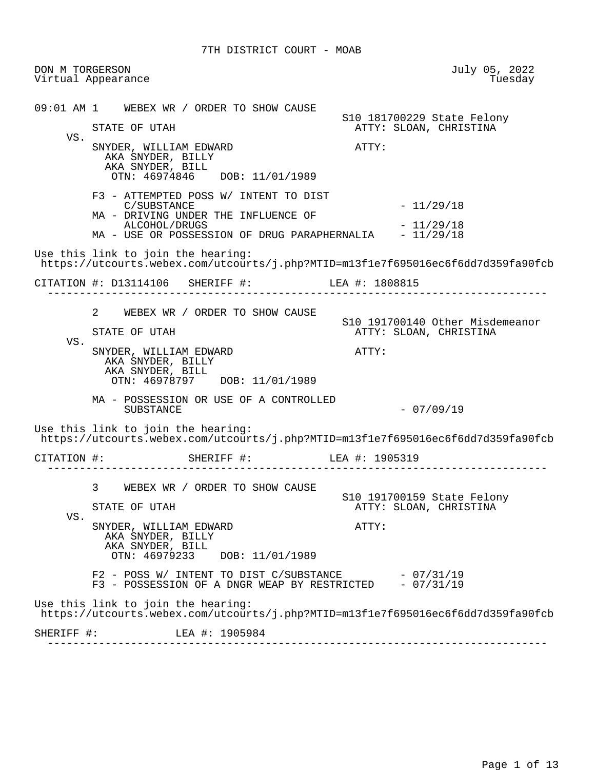DON M TORGERSON July 05, 2022 Virtual Appearance 09:01 AM 1 WEBEX WR / ORDER TO SHOW CAUSE S10 181700229 State Felony ATTY: SLOAN, CHRISTINA VS. SNYDER, WILLIAM EDWARD **ATTY:**  AKA SNYDER, BILLY AKA SNYDER, BILL OTN: 46974846 DOB: 11/01/1989 F3 - ATTEMPTED POSS W/ INTENT TO DIST  $C/SUBSTANCE$   $-11/29/18$  MA - DRIVING UNDER THE INFLUENCE OF ALCOHOL/DRUGS - 11/29/18<br>USE OR POSSESSION OF DRUG PARAPHERNALIA - 11/29/18 MA - USE OR POSSESSION OF DRUG PARAPHERNALIA Use this link to join the hearing: https://utcourts.webex.com/utcourts/j.php?MTID=m13f1e7f695016ec6f6dd7d359fa90fcb CITATION #: D13114106 SHERIFF #: LEA #: 1808815 ------------------------------------------------------------------------------ 2 WEBEX WR / ORDER TO SHOW CAUSE S10 191700140 Other Misdemeanor ATTY: SLOAN, CHRISTINA VS. SNYDER, WILLIAM EDWARD **ATTY:**  AKA SNYDER, BILLY AKA SNYDER, BILL OTN: 46978797 DOB: 11/01/1989 MA - POSSESSION OR USE OF A CONTROLLED  $-07/09/19$  Use this link to join the hearing: https://utcourts.webex.com/utcourts/j.php?MTID=m13f1e7f695016ec6f6dd7d359fa90fcb CITATION #: SHERIFF #: LEA #: 1905319 ------------------------------------------------------------------------------ 3 WEBEX WR / ORDER TO SHOW CAUSE S10 191700159 State Felony ATTY: SLOAN, CHRISTINA VS. SNYDER, WILLIAM EDWARD **ATTY:**  AKA SNYDER, BILLY AKA SNYDER, BILL OTN: 46979233 DOB: 11/01/1989  $F2$  - POSS W/ INTENT TO DIST C/SUBSTANCE  $-07/31/19$  $F3$  - POSSESSION OF A DNGR WEAP BY RESTRICTED  $-07/31/19$  Use this link to join the hearing: https://utcourts.webex.com/utcourts/j.php?MTID=m13f1e7f695016ec6f6dd7d359fa90fcb SHERIFF #: LEA #: 1905984 ------------------------------------------------------------------------------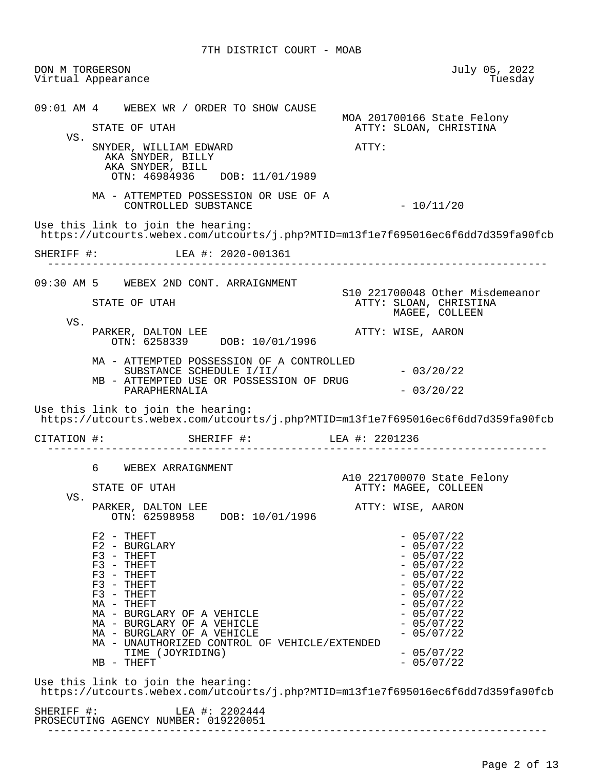DON M TORGERSON July 05, 2022 Virtual Appearance 09:01 AM 4 WEBEX WR / ORDER TO SHOW CAUSE MOA 201700166 State Felony ATTY: SLOAN, CHRISTINA VS. SNYDER, WILLIAM EDWARD **ATTY:**  AKA SNYDER, BILLY AKA SNYDER, BILL OTN: 46984936 DOB: 11/01/1989 MA - ATTEMPTED POSSESSION OR USE OF A  $CONTROLLED$  SUBSTANCE  $-10/11/20$  Use this link to join the hearing: https://utcourts.webex.com/utcourts/j.php?MTID=m13f1e7f695016ec6f6dd7d359fa90fcb SHERIFF #: LEA #: 2020-001361 ------------------------------------------------------------------------------ 09:30 AM 5 WEBEX 2ND CONT. ARRAIGNMENT S10 221700048 Other Misdemeanor STATE OF UTAH ATTY: SLOAN, CHRISTINA MAGEE, COLLEEN VS. PARKER, DALTON LEE ATTY: WISE, AARON OTN: 6258339 DOB: 10/01/1996 MA - ATTEMPTED POSSESSION OF A CONTROLLED SUBSTANCE SCHEDULE  $I/I$ <sup>T</sup>  $-$  03/20/22 MB - ATTEMPTED USE OR POSSESSION OF DRUG PARAPHERNALIA  $-03/20/22$  Use this link to join the hearing: https://utcourts.webex.com/utcourts/j.php?MTID=m13f1e7f695016ec6f6dd7d359fa90fcb CITATION #: SHERIFF #: LEA #: 2201236 ------------------------------------------------------------------------------ 6 WEBEX ARRAIGNMENT A10 221700070 State Felony ATTY: MAGEE, COLLEEN VS. PARKER, DALTON LEE ATTY: WISE, AARON OTN: 62598958 DOB: 10/01/1996  $F2 - THEFT$ <br> $F2 - BURGLARY$  - 05/07/22  $F2 - BURGLARY$ <br> $F3 - THEFT$  - 05/07/22  $F3 - THEFT$ <br> $F3 - THEFT$  - 05/07/22  $F3 - THEFT$  - 05/07/22  $F3 - THEFT$  - 05/07/22  $F3 - THEFT$  - 05/07/22  $F3 - THEFT$  - 05/07/22  $\begin{array}{cccc}\n\mathtt{MA} & - & \mathtt{THEFT} \\
\mathtt{MA} & - & \mathtt{BURGLARY} & \mathtt{OF} & \mathtt{A} & \mathtt{VEHICLE} \\
\end{array} \qquad \begin{array}{cccc}\n\mathtt{MHICLE} & - & 05/07/22 \\
\mathtt{MA} & - & 05/07/22 \\
\end{array}$  $\text{MA}$  - BURGLARY OF A VEHICLE  $\text{MA}$  - 05/07/22<br> $\text{MA}$  - BURGLARY OF A VEHICLE  $\text{MA}$  - BURGLARY OF A VEHICLE  $\text{MA}$  - 05/07/22<br> $\text{MA}$  - BURGLARY OF A VEHICLE MA - BURGLARY OF A VEHICLE MA - UNAUTHORIZED CONTROL OF VEHICLE/EXTENDED TIME (JOYRIDING) - 05/07/22  $MB - THEFT$  Use this link to join the hearing: https://utcourts.webex.com/utcourts/j.php?MTID=m13f1e7f695016ec6f6dd7d359fa90fcb SHERIFF #: LEA #: 2202444 PROSECUTING AGENCY NUMBER: 019220051

------------------------------------------------------------------------------

Page 2 of 13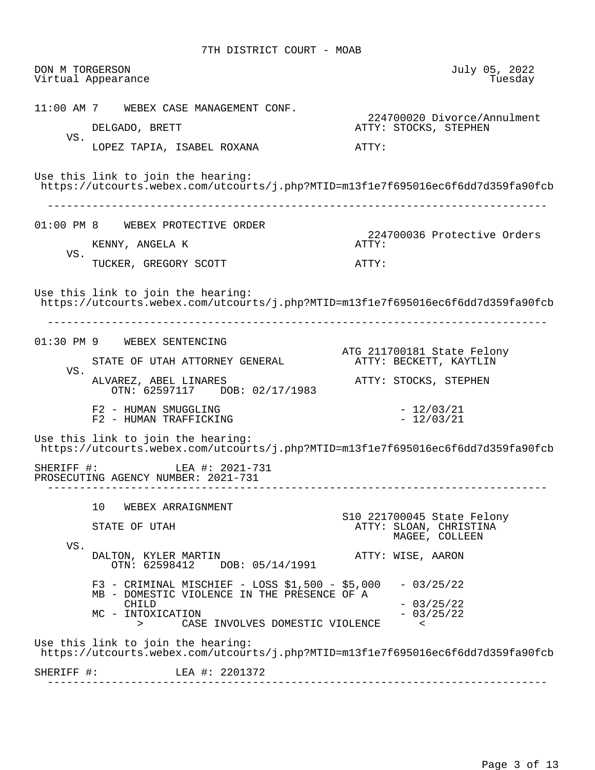| DON M TORGERSON | Virtual Appearance                                                                                                                                                             | July 05, 2022<br>Tuesday                                               |
|-----------------|--------------------------------------------------------------------------------------------------------------------------------------------------------------------------------|------------------------------------------------------------------------|
|                 | 11:00 AM 7 WEBEX CASE MANAGEMENT CONF.<br>DELGADO, BRETT                                                                                                                       | 224700020 Divorce/Annulment<br>ATTY: STOCKS, STEPHEN                   |
| VS.             | LOPEZ TAPIA, ISABEL ROXANA                                                                                                                                                     | ATTY:                                                                  |
|                 | Use this link to join the hearing:<br>https://utcourts.webex.com/utcourts/j.php?MTID=m13f1e7f695016ec6f6dd7d359fa90fcb                                                         |                                                                        |
|                 | 01:00 PM 8 WEBEX PROTECTIVE ORDER                                                                                                                                              | 224700036 Protective Orders                                            |
| VS.             | KENNY, ANGELA K                                                                                                                                                                | ATTY:                                                                  |
|                 | TUCKER, GREGORY SCOTT                                                                                                                                                          | ATTY:                                                                  |
|                 | Use this link to join the hearing:<br>https://utcourts.webex.com/utcourts/j.php?MTID=m13f1e7f695016ec6f6dd7d359fa90fcb                                                         |                                                                        |
|                 | 01:30 PM 9 WEBEX SENTENCING<br>STATE OF UTAH ATTORNEY GENERAL                                                                                                                  | ATG 211700181 State Felony<br>ATTY: BECKETT, KAYTLIN                   |
| VS.             | ALVAREZ, ABEL LINARES<br>OTN: 62597117 DOB: 02/17/1983                                                                                                                         | ATTY: STOCKS, STEPHEN                                                  |
|                 | F2 - HUMAN SMUGGLING<br>F2 - HUMAN TRAFFICKING                                                                                                                                 | $-12/03/21$<br>$-12/03/21$                                             |
|                 | Use this link to join the hearing:<br>https://utcourts.webex.com/utcourts/j.php?MTID=m13f1e7f695016ec6f6dd7d359fa90fcb                                                         |                                                                        |
|                 | SHERIFF #: LEA #: 2021-731<br>PROSECUTING AGENCY NUMBER: 2021-731                                                                                                              |                                                                        |
|                 | 10<br>WEBEX ARRAIGNMENT<br>STATE OF UTAH                                                                                                                                       | S10 221700045 State Felony<br>ATTY: SLOAN, CHRISTINA<br>MAGEE, COLLEEN |
| VS.             | DALTON, KYLER MARTIN<br>OTN: 62598412 DOB: 05/14/1991                                                                                                                          | ATTY: WISE, AARON                                                      |
|                 | $F3$ - CRIMINAL MISCHIEF - LOSS \$1,500 - \$5,000<br>MB - DOMESTIC VIOLENCE IN THE PRESENCE OF A<br>CHILD<br>MC - INTOXICATION<br>CASE INVOLVES DOMESTIC VIOLENCE < <br $\geq$ | $-03/25/22$<br>$-03/25/22$<br>$-03/25/22$                              |
|                 |                                                                                                                                                                                |                                                                        |
|                 | Use this link to join the hearing:<br>https://utcourts.webex.com/utcourts/j.php?MTID=m13f1e7f695016ec6f6dd7d359fa90fcb                                                         |                                                                        |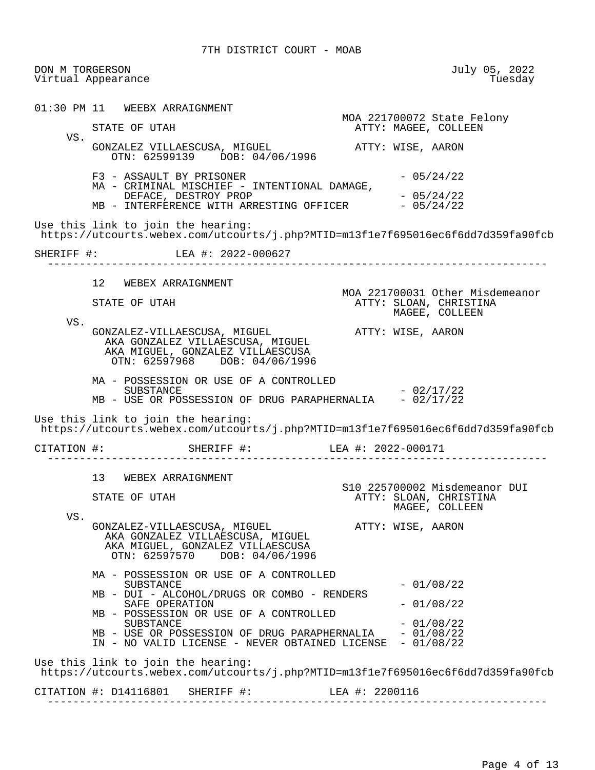DON M TORGERSON July 05, 2022 Virtual Appearance 01:30 PM 11 WEEBX ARRAIGNMENT MOA 221700072 State Felony ATTY: MAGEE, COLLEEN VS. GONZALEZ VILLAESCUSA, MIGUEL **ATTY: WISE, AARON**  OTN: 62599139 DOB: 04/06/1996  $F3 - ASSAULT BY PRISONER$  - 05/24/22 MA - CRIMINAL MISCHIEF - INTENTIONAL DAMAGE, DEFACE, DESTROY PROP<br>- INTERFERENCE WITH ARRESTING OFFICER - 05/24/22 MB - INTERFERENCE WITH ARRESTING OFFICER Use this link to join the hearing: https://utcourts.webex.com/utcourts/j.php?MTID=m13f1e7f695016ec6f6dd7d359fa90fcb SHERIFF #: LEA #: 2022-000627 ------------------------------------------------------------------------------ 12 WEBEX ARRAIGNMENT MOA 221700031 Other Misdemeanor STATE OF UTAH ATTY: SLOAN, CHRISTINA MAGEE, COLLEEN VS. GONZALEZ-VILLAESCUSA, MIGUEL ATTY: WISE, AARON AKA GONZALEZ VILLAESCUSA, MIGUEL AKA MIGUEL, GONZALEZ VILLAESCUSA<br>OTN: 62597968 DOB: 04/06/1996 OTN: 62597968 MA - POSSESSION OR USE OF A CONTROLLED  $SUBSTRACT$   $- 02/17/22$ MB - USE OR POSSESSION OF DRUG PARAPHERNALIA - 02/17/22 Use this link to join the hearing: https://utcourts.webex.com/utcourts/j.php?MTID=m13f1e7f695016ec6f6dd7d359fa90fcb CITATION #: SHERIFF #: LEA #: 2022-000171 ------------------------------------------------------------------------------ 13 WEBEX ARRAIGNMENT S10 225700002 Misdemeanor DUI<br>STATE OF UTAH THE SIDAN, CHRISTINA STATE OF UTAH ATTY: SLOAN, CHRISTINA MAGEE, COLLEEN VS. GONZALEZ-VILLAESCUSA, MIGUEL ATTY: WISE, AARON AKA GONZALEZ VILLAESCUSA, MIGUEL AKA MIGUEL, GONZALEZ VILLAESCUSA OTN: 62597570 DOB: 04/06/1996 MA - POSSESSION OR USE OF A CONTROLLED SUBSTANCE - 01/08/22 MB - DUI - ALCOHOL/DRUGS OR COMBO - RENDERS SAFE OPERATION - 01/08/22 MB - POSSESSION OR USE OF A CONTROLLED SUBSTANCE - 01/08/22 MB - USE OR POSSESSION OF DRUG PARAPHERNALIA - 01/08/22 IN - NO VALID LICENSE - NEVER OBTAINED LICENSE - 01/08/22 Use this link to join the hearing: https://utcourts.webex.com/utcourts/j.php?MTID=m13f1e7f695016ec6f6dd7d359fa90fcb CITATION #: D14116801 SHERIFF #: LEA #: 2200116 ------------------------------------------------------------------------------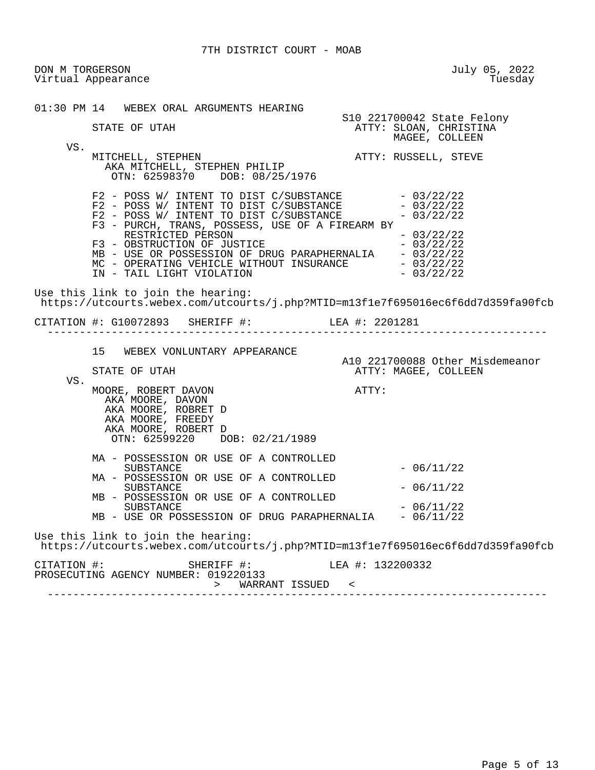7TH DISTRICT COURT - MOAB

 DON M TORGERSON July 05, 2022 Virtual Appearance 01:30 PM 14 WEBEX ORAL ARGUMENTS HEARING S10 221700042 State Felony STATE OF UTAH ATTY: SLOAN, CHRISTINA MAGEE, COLLEEN VS.<br>MITCHELL, STEPHEN ATTY: RUSSELL, STEVE AKA MITCHELL, STEPHEN PHILIP OTN: 62598370 DOB: 08/25/1976  $F2 - POSS W / INIENT TO DIST C/SUBSTANCE - 03/22/22$  $F2$  - POSS W/ INTENT TO DIST C/SUBSTANCE  $-03/22/22$  $F2$  - POSS W/ INTENT TO DIST C/SUBSTANCE  $-03/22/22$  F3 - PURCH, TRANS, POSSESS, USE OF A FIREARM BY RESTRICTED PERSON - 03/22/22 F3 - OBSTRUCTION OF JUSTICE<br>MB - USE OR POSSESSION OF DRUG PARAPHERNALIA - 03/22/22 MB - USE OR POSSESSION OF DRUG PARAPHERNALIA - 03/22/22<br>MC - OPERATING VEHICLE WITHOUT INSURANCE - 03/22/22 MC - OPERATING VEHICLE WITHOUT INSURANCE  $- 03/22/22$ <br>IN - TAIL LIGHT VIOLATION  $- 03/22/22$ IN - TAIL LIGHT VIOLATION Use this link to join the hearing: https://utcourts.webex.com/utcourts/j.php?MTID=m13f1e7f695016ec6f6dd7d359fa90fcb CITATION #: G10072893 SHERIFF #: LEA #: 2201281 ------------------------------------------------------------------------------ 15 WEBEX VONLUNTARY APPEARANCE A10 221700088 Other Misdemeanor<br>ATTY: MAGEE. COLLEEN ATTY: MAGEE, COLLEEN VS. MOORE, ROBERT DAVON **ATTY:**  AKA MOORE, DAVON AKA MOORE, ROBRET D AKA MOORE, FREEDY AKA MOORE, ROBERT D OTN: 62599220 DOB: 02/21/1989 MA - POSSESSION OR USE OF A CONTROLLED  $SUBSTATE$   $- 06/11/22$  MA - POSSESSION OR USE OF A CONTROLLED  $-06/11/22$  MB - POSSESSION OR USE OF A CONTROLLED  $SUBSTRACT$   $- 06/11/22$ MB - USE OR POSSESSION OF DRUG PARAPHERNALIA - 06/11/22 Use this link to join the hearing: https://utcourts.webex.com/utcourts/j.php?MTID=m13f1e7f695016ec6f6dd7d359fa90fcb CITATION #: SHERIFF #: LEA #: 132200332 PROSECUTING AGENCY NUMBER: 019220133 > WARRANT ISSUED < ------------------------------------------------------------------------------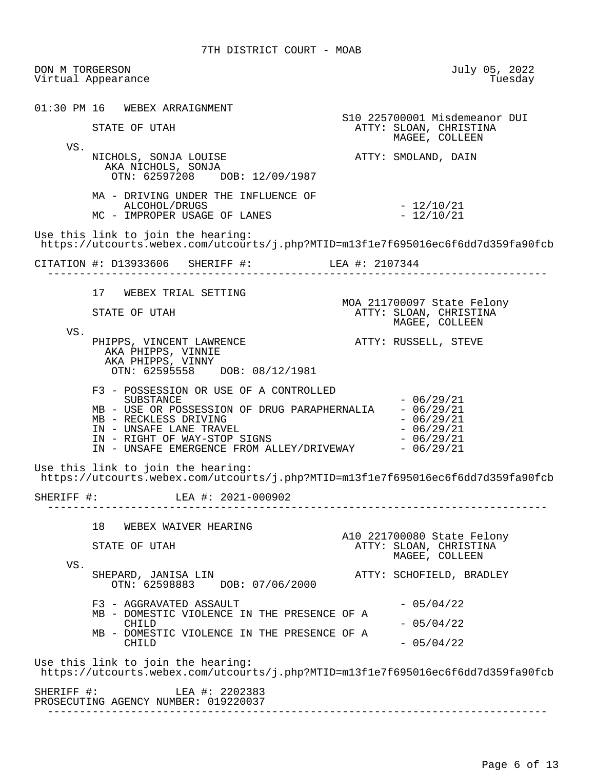DON M TORGERSON July 05, 2022 Virtual Appearance 01:30 PM 16 WEBEX ARRAIGNMENT S10 225700001 Misdemeanor DUI<br>STATE OF UTAH THE STATE ATTY: SLOAN, CHRISTINA STATE OF UTAH ATTY: SLOAN, CHRISTINA MAGEE, COLLEEN VS. NICHOLS, SONJA LOUISE ATTY: SMOLAND, DAIN AKA NICHOLS, SONJA OTN: 62597208 DOB: 12/09/1987 MA - DRIVING UNDER THE INFLUENCE OF ALCOHOL/DRUGS - 12/10/21<br>IMPROPER USAGE OF LANES - 12/10/21 MC - IMPROPER USAGE OF LANES Use this link to join the hearing: https://utcourts.webex.com/utcourts/j.php?MTID=m13f1e7f695016ec6f6dd7d359fa90fcb CITATION #: D13933606 SHERIFF #: LEA #: 2107344 ------------------------------------------------------------------------------ 17 WEBEX TRIAL SETTING MOA 211700097 State Felony STATE OF UTAH ATTY: SLOAN, CHRISTINA MAGEE, COLLEEN VS. PHIPPS, VINCENT LAWRENCE **ATTY: RUSSELL, STEVE**  AKA PHIPPS, VINNIE AKA PHIPPS, VINNY OTN: 62595558 DOB: 08/12/1981 F3 - POSSESSION OR USE OF A CONTROLLED  $-06/29/21$ <br> $-06/29/21$ MB - USE OR POSSESSION OF DRUG PARAPHERNALIA - 06/29/21<br>MB - RECKLESS DRIVING  $MB$  – RECKLESS DRIVING<br>IN – UNSAFE LANE TRAVEL  $IN - UNSAFE$  LANE TRAVEL<br>  $IN - RIGHT$  OF WAY-STOP SIGNS  $- 06/29/21$ IN - RIGHT OF WAY-STOP SIGNS<br>IN - UNSAFE EMERGENCE FROM ALLEY/DRIVEWAY - 06/29/21 IN - UNSAFE EMERGENCE FROM ALLEY/DRIVEWAY Use this link to join the hearing: https://utcourts.webex.com/utcourts/j.php?MTID=m13f1e7f695016ec6f6dd7d359fa90fcb SHERIFF #: LEA #: 2021-000902 ------------------------------------------------------------------------------ 18 WEBEX WAIVER HEARING A10 221700080 State Felony ATTY: SLOAN, CHRISTINA MAGEE, COLLEEN VS.<br>SHEPARD, JANISA LIN ATTY: SCHOFIELD, BRADLEY OTN: 62598883 DOB: 07/06/2000  $F3 - AGGRAVATED ASSAULT$  - 05/04/22 MB - DOMESTIC VIOLENCE IN THE PRESENCE OF A CHILD  $-05/04/22$  MB - DOMESTIC VIOLENCE IN THE PRESENCE OF A  $CHILD$  - 05/04/22 Use this link to join the hearing: https://utcourts.webex.com/utcourts/j.php?MTID=m13f1e7f695016ec6f6dd7d359fa90fcb SHERIFF #: LEA #: 2202383 PROSECUTING AGENCY NUMBER: 019220037 ------------------------------------------------------------------------------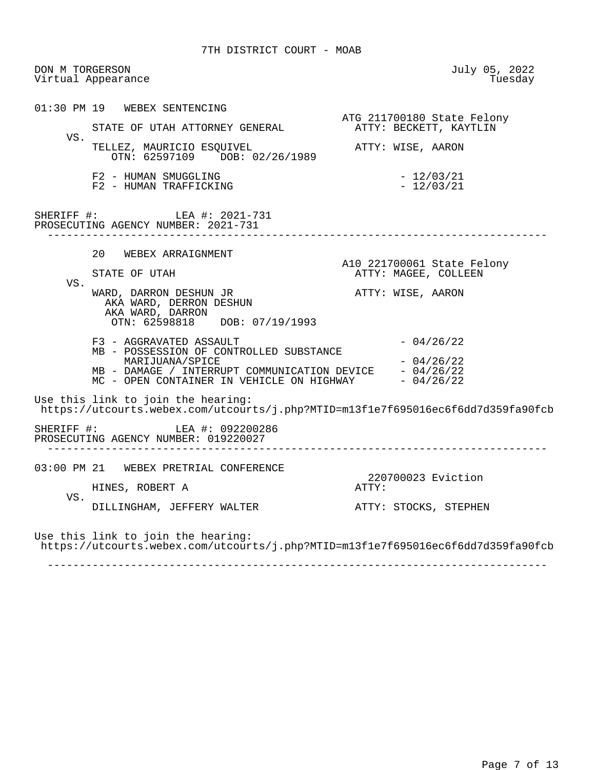DON M TORGERSON July 05, 2022 Virtual Appearance 01:30 PM 19 WEBEX SENTENCING ATG 211700180 State Felony STATE OF UTAH ATTORNEY GENERAL **ATTY: BECKETT, KAYTLIN**  VS. TELLEZ, MAURICIO ESQUIVEL ATTY: WISE, AARON OTN: 62597109 DOB: 02/26/1989

> $F2$  - HUMAN SMUGGLING  $-$  12/03/21<br> $F2$  - HUMAN TRAFFICKING  $-$  12/03/21 F2 - HUMAN TRAFFICKING

SHERIFF #: LEA #: 2021-731 PROSECUTING AGENCY NUMBER: 2021-731 ------------------------------------------------------------------------------

 20 WEBEX ARRAIGNMENT A10 221700061 State Felony ATTY: MAGEE, COLLEEN VS. WARD, DARRON DESHUN JR **ATTY:** WISE, AARON AKA WARD, DERRON DESHUN AKA WARD, DARRON OTN: 62598818 DOB: 07/19/1993  $F3 - AGGRAVATED ASSAULT$  - 04/26/22 MB - POSSESSION OF CONTROLLED SUBSTANCE  $MARTJUANA/SPICE$   $-04/26/22$ MB - DAMAGE / INTERRUPT COMMUNICATION DEVICE - 04/26/22  $MC$  - OPEN CONTAINER IN VEHICLE ON HIGHWAY  $-04/26/22$ 

 Use this link to join the hearing: https://utcourts.webex.com/utcourts/j.php?MTID=m13f1e7f695016ec6f6dd7d359fa90fcb

SHERIFF #: LEA #: 092200286 PROSECUTING AGENCY NUMBER: 019220027 ------------------------------------------------------------------------------

 03:00 PM 21 WEBEX PRETRIAL CONFERENCE 220700023 Eviction<br>ATTY: HINES, ROBERT A VS. DILLINGHAM, JEFFERY WALTER ATTY: STOCKS, STEPHEN

 Use this link to join the hearing: https://utcourts.webex.com/utcourts/j.php?MTID=m13f1e7f695016ec6f6dd7d359fa90fcb

------------------------------------------------------------------------------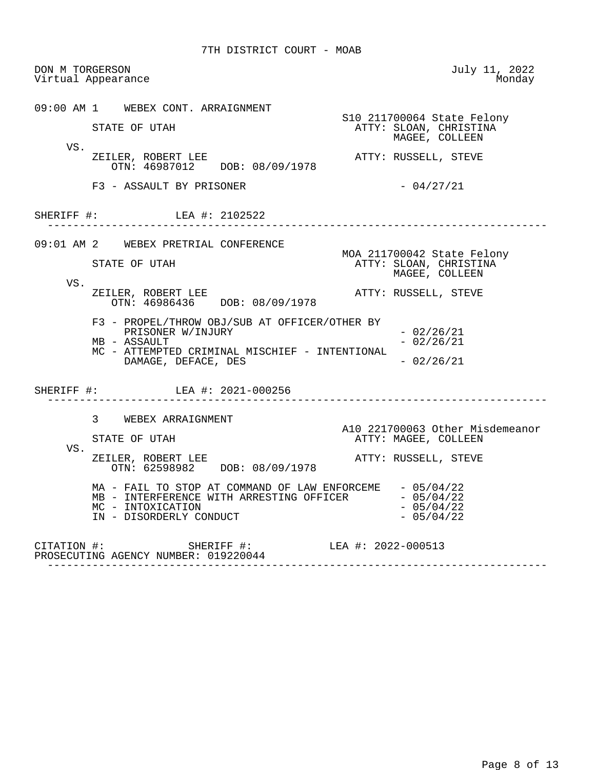DON M TORGERSON July 11, 2022 Virtual Appearance 09:00 AM 1 WEBEX CONT. ARRAIGNMENT STATE OF UTAH STATE STATE OF UTAH STATE SECULIES STATE OF UTAH ATTY: SLOAN, CHRISTINA MAGEE, COLLEEN VS. ZEILER, ROBERT LEE ATTY: RUSSELL, STEVE OTN: 46987012 DOB: 08/09/1978  $F3 - ASSAULT BY PRISONER$  - 04/27/21 SHERIFF #: LEA #: 2102522 ------------------------------------------------------------------------------ 09:01 AM 2 WEBEX PRETRIAL CONFERENCE MOA 211700042 State Felony ATTY: SLOAN, CHRISTINA MAGEE, COLLEEN VS. ZEILER, ROBERT LEE ATTY: RUSSELL, STEVE OTN: 46986436 DOB: 08/09/1978 F3 - PROPEL/THROW OBJ/SUB AT OFFICER/OTHER BY PRISONER W/INJURY - 02/26/21<br>ASSAULT - 02/26/21  $MB - ASSAULT$  MC - ATTEMPTED CRIMINAL MISCHIEF - INTENTIONAL DAMAGE, DEFACE, DES - 02/26/21 SHERIFF #: LEA #: 2021-000256 ------------------------------------------------------------------------------ 3 WEBEX ARRAIGNMENT A10 221700063 Other Misdemeanor<br>
ATTY: MAGEE, COLLEEN ATTY: MAGEE, COLLEEN VS.<br>ZEILER, ROBERT LEE ATTY: RUSSELL, STEVE OTN: 62598982 DOB: 08/09/1978 MA - FAIL TO STOP AT COMMAND OF LAW ENFORCEME - 05/04/22<br>MB - INTERFERENCE WITH ARRESTING OFFICER - 05/04/22 MB - INTERFERENCE WITH ARRESTING OFFICER - 05/04/22  $MC - INTOXICATION$  - 05/04/22  $IN - DISORDERLY CONDUCT$  - 05/04/22 CITATION #: SHERIFF #: LEA #: 2022-000513 PROSECUTING AGENCY NUMBER: 019220044

------------------------------------------------------------------------------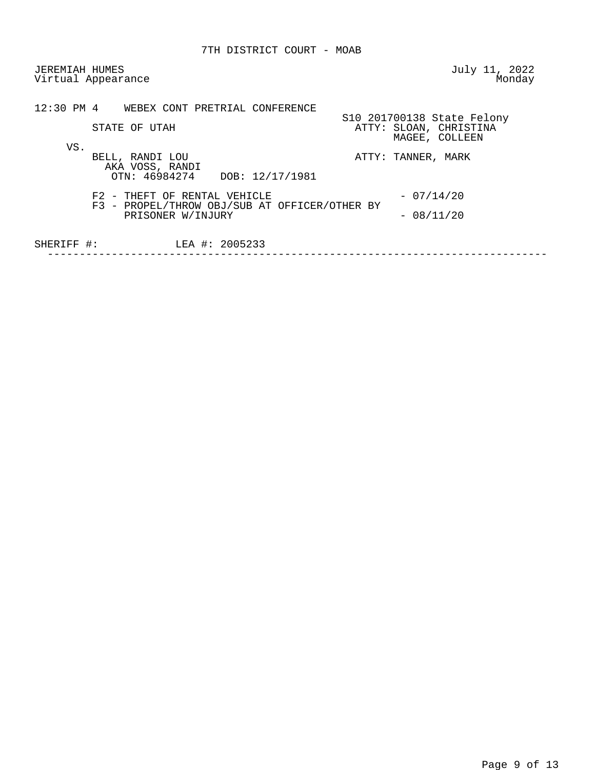JEREMIAH HUMES July 11, 2022 Virtual Appearance

|            | 12:30 PM 4 WEBEX CONT PRETRIAL CONFERENCE                                                          |                                                                        |
|------------|----------------------------------------------------------------------------------------------------|------------------------------------------------------------------------|
|            | STATE OF UTAH                                                                                      | S10 201700138 State Felony<br>ATTY: SLOAN, CHRISTINA<br>MAGEE, COLLEEN |
| VS.        | BELL, RANDI LOU<br>AKA VOSS, RANDI<br>OTN: 46984274 DOB: 12/17/1981                                | ATTY: TANNER, MARK                                                     |
|            | F2 - THEFT OF RENTAL VEHICLE<br>F3 - PROPEL/THROW OBJ/SUB AT OFFICER/OTHER BY<br>PRISONER W/INJURY | $-07/14/20$<br>$-08/11/20$                                             |
| SHERIFF #: | LEA #: 2005233                                                                                     |                                                                        |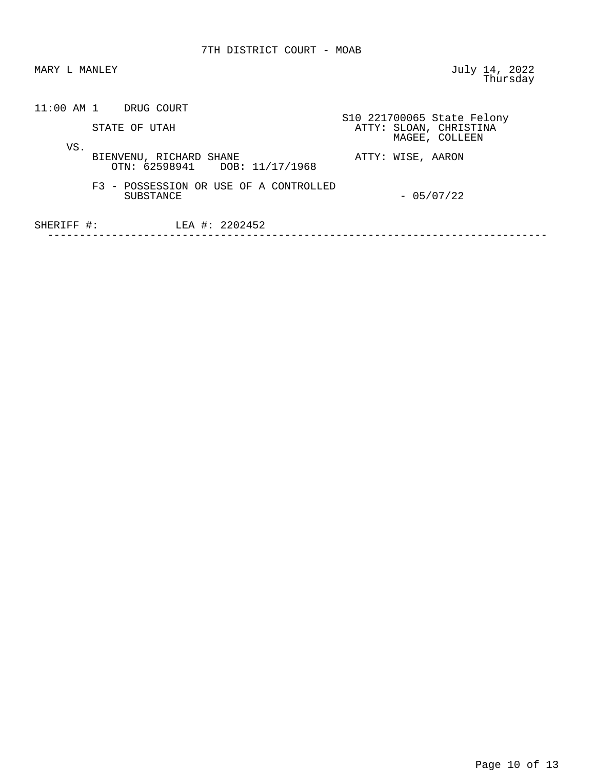MARY L MANLEY **MANULARY** SERVICE STATES AND MARY L MANUSCHE STATES AND MARY LATE AND MANUSCHE STATES AND MANUSCHE thursday and the contract of the contract of the contract of the contract of the contract of the contract of the contract of the contract of the contract of the contract of the contract of the contract of the contract of t

| $11:00$ AM 1 |  | DRUG COURT |
|--------------|--|------------|
|--------------|--|------------|

|     | STATE OF UTAH                                            | S10 221700065 State Felony<br>ATTY: SLOAN, CHRISTINA<br>MAGEE, COLLEEN |
|-----|----------------------------------------------------------|------------------------------------------------------------------------|
| VS. | BIENVENU, RICHARD SHANE<br>OTN: 62598941 DOB: 11/17/1968 | ATTY: WISE, AARON                                                      |

 F3 - POSSESSION OR USE OF A CONTROLLED  $-05/07/22$ 

 SHERIFF #: LEA #: 2202452 ------------------------------------------------------------------------------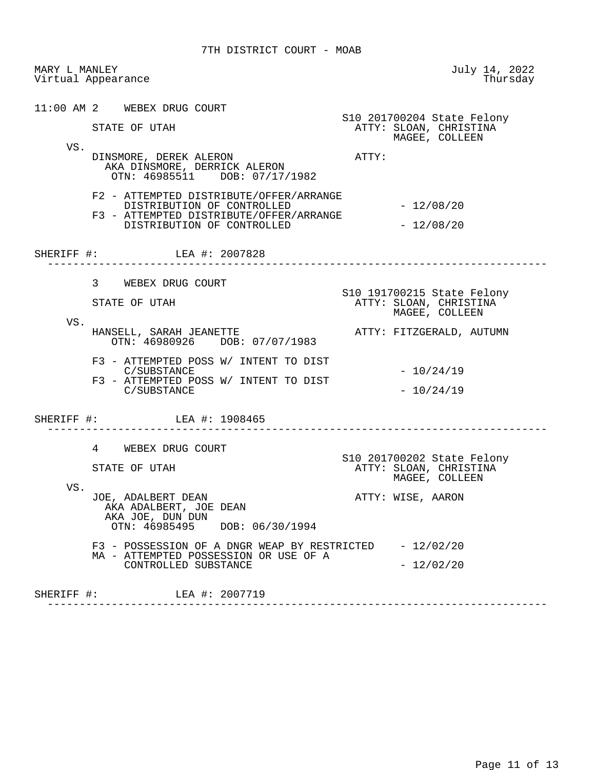| MARY L MANLEY | Virtual Appearance                                                                                                                             | July 14, 2022<br>Thursday                                              |
|---------------|------------------------------------------------------------------------------------------------------------------------------------------------|------------------------------------------------------------------------|
| VS.           | 11:00 AM 2 WEBEX DRUG COURT<br>STATE OF UTAH                                                                                                   | S10 201700204 State Felony<br>ATTY: SLOAN, CHRISTINA<br>MAGEE, COLLEEN |
|               | DINSMORE, DEREK ALERON<br>AKA DINSMORE, DERRICK ALERON<br>OTN: 46985511 DOB: 07/17/1982                                                        | ATTY:                                                                  |
|               | F2 - ATTEMPTED DISTRIBUTE/OFFER/ARRANGE<br>DISTRIBUTION OF CONTROLLED<br>F3 - ATTEMPTED DISTRIBUTE/OFFER/ARRANGE<br>DISTRIBUTION OF CONTROLLED | $-12/08/20$<br>$-12/08/20$                                             |
|               | SHERIFF #: LEA #: 2007828                                                                                                                      |                                                                        |
|               | 3 WEBEX DRUG COURT<br>STATE OF UTAH                                                                                                            | S10 191700215 State Felony<br>ATTY: SLOAN, CHRISTINA<br>MAGEE, COLLEEN |
| VS.           | HANSELL, SARAH JEANETTE<br>OTN: 46980926 DOB: 07/07/1983                                                                                       | ATTY: FITZGERALD, AUTUMN                                               |
|               | F3 - ATTEMPTED POSS W/ INTENT TO DIST<br>C/SUBSTANCE<br>F3 - ATTEMPTED POSS W/ INTENT TO DIST<br>C/SUBSTANCE                                   | $-10/24/19$<br>$-10/24/19$                                             |
|               | SHERIFF #: LEA #: 1908465                                                                                                                      |                                                                        |
|               | 4<br>WEBEX DRUG COURT<br>STATE OF UTAH                                                                                                         | S10 201700202 State Felony<br>ATTY: SLOAN, CHRISTINA<br>MAGEE, COLLEEN |
| VS.           | JOE, ADALBERT DEAN<br>AKA ADALBERT, JOE DEAN<br>AKA JOE, DUN DUN<br>OTN: 46985495 DOB: 06/30/1994                                              | ATTY: WISE, AARON                                                      |
|               | F3 - POSSESSION OF A DNGR WEAP BY RESTRICTED<br>MA - ATTEMPTED POSSESSION OR USE OF A<br>CONTROLLED SUBSTANCE                                  | $-12/02/20$<br>$-12/02/20$                                             |
|               | SHERIFF #: LEA #: 2007719                                                                                                                      |                                                                        |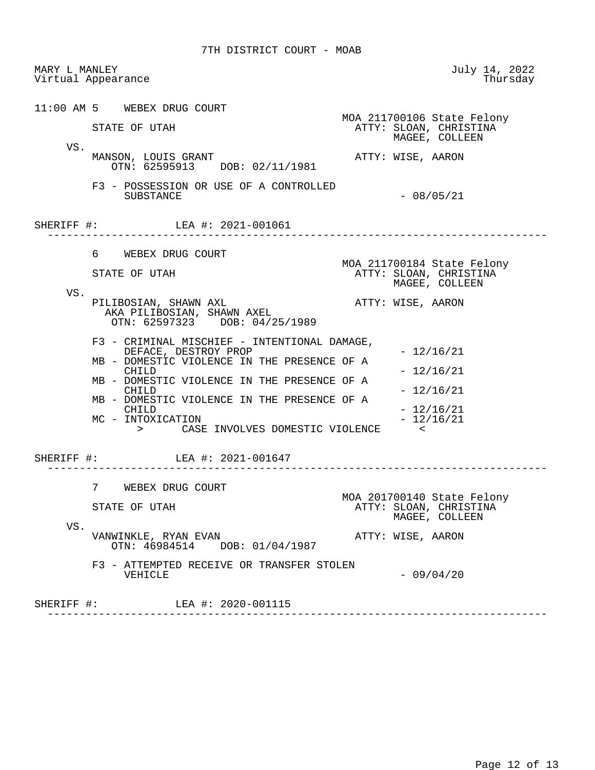7TH DISTRICT COURT - MOAB

 MARY L MANLEY July 14, 2022 Virtual Appearance 11:00 AM 5 WEBEX DRUG COURT MOA 211700106 State Felony STATE OF UTAH ATTY: SLOAN, CHRISTINA MAGEE, COLLEEN VS. MANSON, LOUIS GRANT ATTY: WISE, AARON OTN: 62595913 DOB: 02/11/1981 F3 - POSSESSION OR USE OF A CONTROLLED  $-08/05/21$ SHERIFF #: LEA #: 2021-001061 ------------------------------------------------------------------------------ 6 WEBEX DRUG COURT MOA 211700184 State Felony STATE OF UTAH ATTY: SLOAN, CHRISTINA MAGEE, COLLEEN VS. PILIBOSIAN, SHAWN AXL ATTY: WISE, AARON AKA PILIBOSIAN, SHAWN AXEL OTN: 62597323 DOB: 04/25/1989 F3 - CRIMINAL MISCHIEF - INTENTIONAL DAMAGE, DEFACE, DESTROY PROP - 12/16/21 MB - DOMESTIC VIOLENCE IN THE PRESENCE OF A CHILD  $- 12/16/21$ MB - DOMESTIC VIOLENCE IN THE PRESENCE OF A CHILD  $- 12/16/21$ MB - DOMESTIC VIOLENCE IN THE PRESENCE OF A CHILD - 12/16/21<br>- 12/16/21 MC - INTOXICATION > CASE INVOLVES DOMESTIC VIOLENCE < SHERIFF #: LEA #: 2021-001647 ------------------------------------------------------------------------------ 7 WEBEX DRUG COURT MOA 201700140 State Felony STATE OF UTAH ATTY: SLOAN, CHRISTINA MAGEE, COLLEEN VS. VANWINKLE, RYAN EVAN ATTY: WISE, AARON OTN: 46984514 DOB: 01/04/1987 F3 - ATTEMPTED RECEIVE OR TRANSFER STOLEN<br>VEHICLE  $-09/04/20$ SHERIFF #: LEA #: 2020-001115 ------------------------------------------------------------------------------